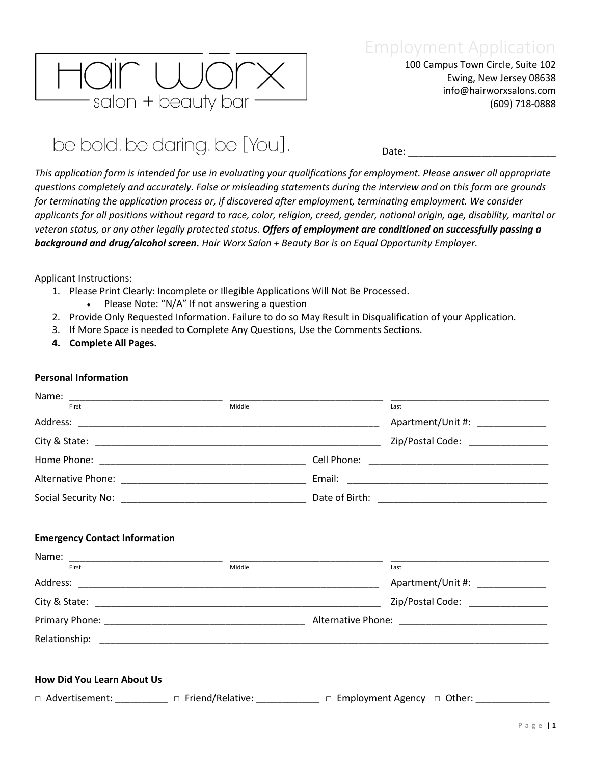

100 Campus Town Circle, Suite 102 Ewing, New Jersey 08638 info@hairworxsalons.com (609) 718-0888

## be bold. be daring. be [You].

Date:

*This application form is intended for use in evaluating your qualifications for employment. Please answer all appropriate questions completely and accurately. False or misleading statements during the interview and on this form are grounds for terminating the application process or, if discovered after employment, terminating employment. We consider applicants for all positions without regard to race, color, religion, creed, gender, national origin, age, disability, marital or veteran status, or any other legally protected status. Offers of employment are conditioned on successfully passing a background and drug/alcohol screen. Hair Worx Salon + Beauty Bar is an Equal Opportunity Employer.*

Applicant Instructions:

- 1. Please Print Clearly: Incomplete or Illegible Applications Will Not Be Processed.
	- Please Note: "N/A" If not answering a question
- 2. Provide Only Requested Information. Failure to do so May Result in Disqualification of your Application.
- 3. If More Space is needed to Complete Any Questions, Use the Comments Sections.
- **4. Complete All Pages.**

#### **Personal Information**

| Name: $\frac{1}{100}$                |        |                                                                                                                             |
|--------------------------------------|--------|-----------------------------------------------------------------------------------------------------------------------------|
|                                      |        | Last                                                                                                                        |
|                                      |        | Apartment/Unit #: ______________                                                                                            |
|                                      |        | Zip/Postal Code: ________________                                                                                           |
|                                      |        |                                                                                                                             |
|                                      |        |                                                                                                                             |
|                                      |        |                                                                                                                             |
| <b>Emergency Contact Information</b> |        |                                                                                                                             |
| First                                | Middle | Last                                                                                                                        |
|                                      |        | Apartment/Unit #: ______________                                                                                            |
|                                      |        | Zip/Postal Code: _______________                                                                                            |
|                                      |        |                                                                                                                             |
|                                      |        |                                                                                                                             |
|                                      |        |                                                                                                                             |
| <b>How Did You Learn About Us</b>    |        |                                                                                                                             |
|                                      |        | $\Box$ Advertisement: ___________ $\Box$ Friend/Relative: _____________ $\Box$ Employment Agency $\Box$ Other: ____________ |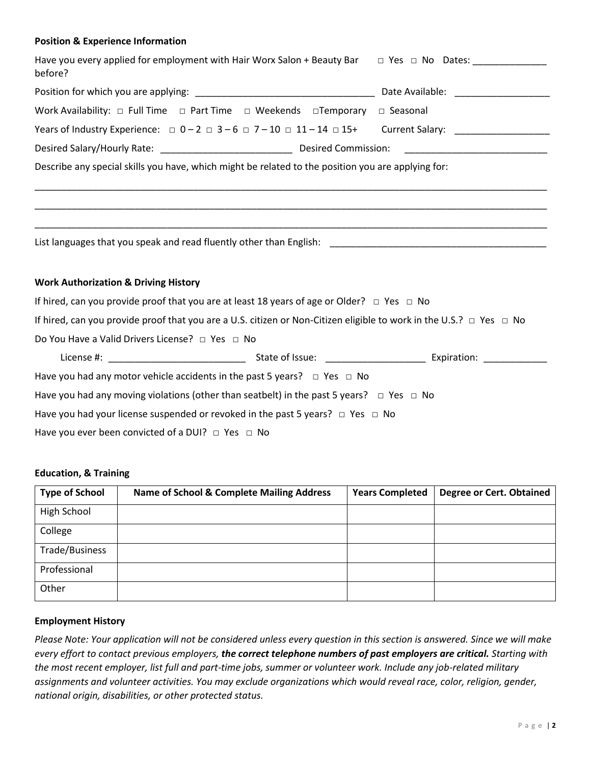#### **Position & Experience Information**

| Have you every applied for employment with Hair Worx Salon + Beauty Bar $\Box$ Yes $\Box$ No Dates:<br>before?                |  |  |  |
|-------------------------------------------------------------------------------------------------------------------------------|--|--|--|
|                                                                                                                               |  |  |  |
| Work Availability: $\Box$ Full Time $\Box$ Part Time $\Box$ Weekends $\Box$ Temporary $\Box$ Seasonal                         |  |  |  |
| Years of Industry Experience: $\Box$ 0-2 $\Box$ 3-6 $\Box$ 7-10 $\Box$ 11-14 $\Box$ 15+ Current Salary:                       |  |  |  |
|                                                                                                                               |  |  |  |
| Describe any special skills you have, which might be related to the position you are applying for:                            |  |  |  |
|                                                                                                                               |  |  |  |
|                                                                                                                               |  |  |  |
|                                                                                                                               |  |  |  |
| <b>Work Authorization &amp; Driving History</b>                                                                               |  |  |  |
| If hired, can you provide proof that you are at least 18 years of age or Older? $\Box$ Yes $\Box$ No                          |  |  |  |
| If hired, can you provide proof that you are a U.S. citizen or Non-Citizen eligible to work in the U.S.? $\Box$ Yes $\Box$ No |  |  |  |
| Do You Have a Valid Drivers License? □ Yes □ No                                                                               |  |  |  |
|                                                                                                                               |  |  |  |
| Have you had any motor vehicle accidents in the past 5 years? $\Box$ Yes $\Box$ No                                            |  |  |  |
| Have you had any moving violations (other than seatbelt) in the past 5 years? $\Box$ Yes $\Box$ No                            |  |  |  |
| Have you had your license suspended or revoked in the past 5 years? $\Box$ Yes $\Box$ No                                      |  |  |  |
| Have you ever been convicted of a DUI? $\Box$ Yes $\Box$ No                                                                   |  |  |  |

#### **Education, & Training**

| <b>Type of School</b> | Name of School & Complete Mailing Address | <b>Years Completed</b> | <b>Degree or Cert. Obtained</b> |
|-----------------------|-------------------------------------------|------------------------|---------------------------------|
| High School           |                                           |                        |                                 |
| College               |                                           |                        |                                 |
| Trade/Business        |                                           |                        |                                 |
| Professional          |                                           |                        |                                 |
| Other                 |                                           |                        |                                 |

#### **Employment History**

*Please Note: Your application will not be considered unless every question in this section is answered. Since we will make every effort to contact previous employers, the correct telephone numbers of past employers are critical. Starting with the most recent employer, list full and part-time jobs, summer or volunteer work. Include any job-related military assignments and volunteer activities. You may exclude organizations which would reveal race, color, religion, gender, national origin, disabilities, or other protected status.*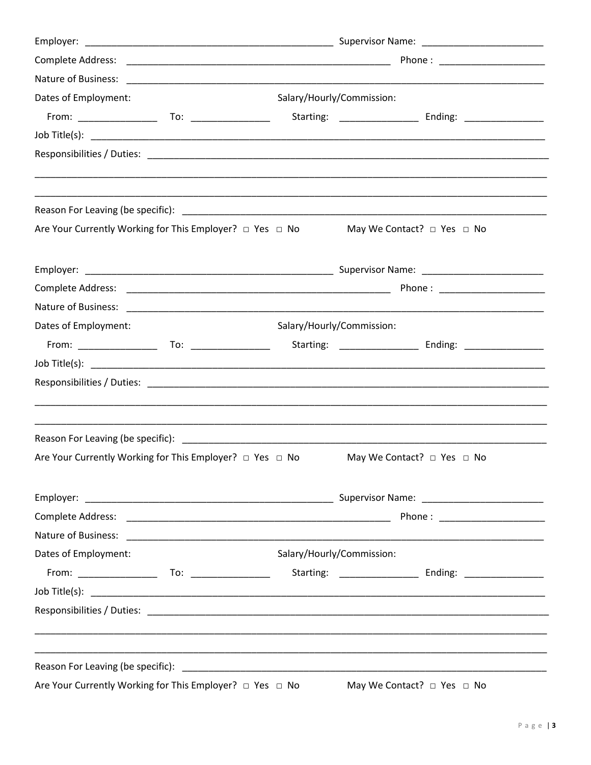| Salary/Hourly/Commission:<br>Are Your Currently Working for This Employer? □ Yes □ No<br>May We Contact? $\Box$ Yes $\Box$ No<br>Phone: National Phone State State State State State State State State State State State State State State State State State State State State State State State State State State State State State State State State State St<br>Salary/Hourly/Commission:<br>Starting: ___________________ Ending: _________________<br>Are Your Currently Working for This Employer? □ Yes □ No<br>May We Contact? $\Box$ Yes $\Box$ No<br>Phone : ________________________<br>Salary/Hourly/Commission:<br>Starting: ___________________ Ending: __________________<br>Are Your Currently Working for This Employer? □ Yes □ No |                      |  |  |                                      |  |  |
|------------------------------------------------------------------------------------------------------------------------------------------------------------------------------------------------------------------------------------------------------------------------------------------------------------------------------------------------------------------------------------------------------------------------------------------------------------------------------------------------------------------------------------------------------------------------------------------------------------------------------------------------------------------------------------------------------------------------------------------------------|----------------------|--|--|--------------------------------------|--|--|
|                                                                                                                                                                                                                                                                                                                                                                                                                                                                                                                                                                                                                                                                                                                                                      |                      |  |  |                                      |  |  |
|                                                                                                                                                                                                                                                                                                                                                                                                                                                                                                                                                                                                                                                                                                                                                      |                      |  |  |                                      |  |  |
|                                                                                                                                                                                                                                                                                                                                                                                                                                                                                                                                                                                                                                                                                                                                                      | Dates of Employment: |  |  |                                      |  |  |
|                                                                                                                                                                                                                                                                                                                                                                                                                                                                                                                                                                                                                                                                                                                                                      |                      |  |  |                                      |  |  |
|                                                                                                                                                                                                                                                                                                                                                                                                                                                                                                                                                                                                                                                                                                                                                      |                      |  |  |                                      |  |  |
|                                                                                                                                                                                                                                                                                                                                                                                                                                                                                                                                                                                                                                                                                                                                                      |                      |  |  |                                      |  |  |
|                                                                                                                                                                                                                                                                                                                                                                                                                                                                                                                                                                                                                                                                                                                                                      |                      |  |  |                                      |  |  |
|                                                                                                                                                                                                                                                                                                                                                                                                                                                                                                                                                                                                                                                                                                                                                      |                      |  |  |                                      |  |  |
|                                                                                                                                                                                                                                                                                                                                                                                                                                                                                                                                                                                                                                                                                                                                                      |                      |  |  |                                      |  |  |
|                                                                                                                                                                                                                                                                                                                                                                                                                                                                                                                                                                                                                                                                                                                                                      |                      |  |  |                                      |  |  |
|                                                                                                                                                                                                                                                                                                                                                                                                                                                                                                                                                                                                                                                                                                                                                      |                      |  |  |                                      |  |  |
|                                                                                                                                                                                                                                                                                                                                                                                                                                                                                                                                                                                                                                                                                                                                                      | Dates of Employment: |  |  |                                      |  |  |
|                                                                                                                                                                                                                                                                                                                                                                                                                                                                                                                                                                                                                                                                                                                                                      |                      |  |  |                                      |  |  |
|                                                                                                                                                                                                                                                                                                                                                                                                                                                                                                                                                                                                                                                                                                                                                      |                      |  |  |                                      |  |  |
|                                                                                                                                                                                                                                                                                                                                                                                                                                                                                                                                                                                                                                                                                                                                                      |                      |  |  |                                      |  |  |
|                                                                                                                                                                                                                                                                                                                                                                                                                                                                                                                                                                                                                                                                                                                                                      |                      |  |  |                                      |  |  |
|                                                                                                                                                                                                                                                                                                                                                                                                                                                                                                                                                                                                                                                                                                                                                      |                      |  |  |                                      |  |  |
|                                                                                                                                                                                                                                                                                                                                                                                                                                                                                                                                                                                                                                                                                                                                                      |                      |  |  |                                      |  |  |
|                                                                                                                                                                                                                                                                                                                                                                                                                                                                                                                                                                                                                                                                                                                                                      |                      |  |  |                                      |  |  |
|                                                                                                                                                                                                                                                                                                                                                                                                                                                                                                                                                                                                                                                                                                                                                      |                      |  |  |                                      |  |  |
|                                                                                                                                                                                                                                                                                                                                                                                                                                                                                                                                                                                                                                                                                                                                                      | Dates of Employment: |  |  |                                      |  |  |
|                                                                                                                                                                                                                                                                                                                                                                                                                                                                                                                                                                                                                                                                                                                                                      |                      |  |  |                                      |  |  |
|                                                                                                                                                                                                                                                                                                                                                                                                                                                                                                                                                                                                                                                                                                                                                      |                      |  |  |                                      |  |  |
|                                                                                                                                                                                                                                                                                                                                                                                                                                                                                                                                                                                                                                                                                                                                                      |                      |  |  |                                      |  |  |
|                                                                                                                                                                                                                                                                                                                                                                                                                                                                                                                                                                                                                                                                                                                                                      |                      |  |  |                                      |  |  |
|                                                                                                                                                                                                                                                                                                                                                                                                                                                                                                                                                                                                                                                                                                                                                      |                      |  |  | May We Contact? $\Box$ Yes $\Box$ No |  |  |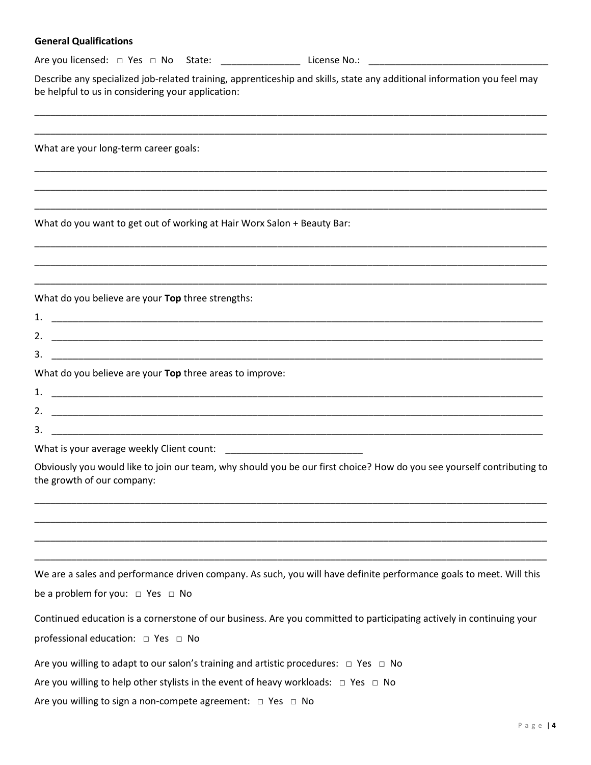#### **General Qualifications**

Are you licensed: □ Yes □ No State: \_\_\_\_\_\_\_\_\_\_\_\_\_\_\_ License No.: \_\_\_\_\_\_\_\_\_\_\_\_\_\_\_\_\_\_\_\_\_\_\_\_\_\_\_\_\_\_\_\_\_\_

Describe any specialized job-related training, apprenticeship and skills, state any additional information you feel may be helpful to us in considering your application:

\_\_\_\_\_\_\_\_\_\_\_\_\_\_\_\_\_\_\_\_\_\_\_\_\_\_\_\_\_\_\_\_\_\_\_\_\_\_\_\_\_\_\_\_\_\_\_\_\_\_\_\_\_\_\_\_\_\_\_\_\_\_\_\_\_\_\_\_\_\_\_\_\_\_\_\_\_\_\_\_\_\_\_\_\_\_\_\_\_\_\_\_\_\_\_\_\_ \_\_\_\_\_\_\_\_\_\_\_\_\_\_\_\_\_\_\_\_\_\_\_\_\_\_\_\_\_\_\_\_\_\_\_\_\_\_\_\_\_\_\_\_\_\_\_\_\_\_\_\_\_\_\_\_\_\_\_\_\_\_\_\_\_\_\_\_\_\_\_\_\_\_\_\_\_\_\_\_\_\_\_\_\_\_\_\_\_\_\_\_\_\_\_\_\_

\_\_\_\_\_\_\_\_\_\_\_\_\_\_\_\_\_\_\_\_\_\_\_\_\_\_\_\_\_\_\_\_\_\_\_\_\_\_\_\_\_\_\_\_\_\_\_\_\_\_\_\_\_\_\_\_\_\_\_\_\_\_\_\_\_\_\_\_\_\_\_\_\_\_\_\_\_\_\_\_\_\_\_\_\_\_\_\_\_\_\_\_\_\_\_\_\_ \_\_\_\_\_\_\_\_\_\_\_\_\_\_\_\_\_\_\_\_\_\_\_\_\_\_\_\_\_\_\_\_\_\_\_\_\_\_\_\_\_\_\_\_\_\_\_\_\_\_\_\_\_\_\_\_\_\_\_\_\_\_\_\_\_\_\_\_\_\_\_\_\_\_\_\_\_\_\_\_\_\_\_\_\_\_\_\_\_\_\_\_\_\_\_\_\_ \_\_\_\_\_\_\_\_\_\_\_\_\_\_\_\_\_\_\_\_\_\_\_\_\_\_\_\_\_\_\_\_\_\_\_\_\_\_\_\_\_\_\_\_\_\_\_\_\_\_\_\_\_\_\_\_\_\_\_\_\_\_\_\_\_\_\_\_\_\_\_\_\_\_\_\_\_\_\_\_\_\_\_\_\_\_\_\_\_\_\_\_\_\_\_\_\_

\_\_\_\_\_\_\_\_\_\_\_\_\_\_\_\_\_\_\_\_\_\_\_\_\_\_\_\_\_\_\_\_\_\_\_\_\_\_\_\_\_\_\_\_\_\_\_\_\_\_\_\_\_\_\_\_\_\_\_\_\_\_\_\_\_\_\_\_\_\_\_\_\_\_\_\_\_\_\_\_\_\_\_\_\_\_\_\_\_\_\_\_\_\_\_\_\_ \_\_\_\_\_\_\_\_\_\_\_\_\_\_\_\_\_\_\_\_\_\_\_\_\_\_\_\_\_\_\_\_\_\_\_\_\_\_\_\_\_\_\_\_\_\_\_\_\_\_\_\_\_\_\_\_\_\_\_\_\_\_\_\_\_\_\_\_\_\_\_\_\_\_\_\_\_\_\_\_\_\_\_\_\_\_\_\_\_\_\_\_\_\_\_\_\_ \_\_\_\_\_\_\_\_\_\_\_\_\_\_\_\_\_\_\_\_\_\_\_\_\_\_\_\_\_\_\_\_\_\_\_\_\_\_\_\_\_\_\_\_\_\_\_\_\_\_\_\_\_\_\_\_\_\_\_\_\_\_\_\_\_\_\_\_\_\_\_\_\_\_\_\_\_\_\_\_\_\_\_\_\_\_\_\_\_\_\_\_\_\_\_\_\_

What are your long-term career goals:

What do you want to get out of working at Hair Worx Salon + Beauty Bar:

What do you believe are your **Top** three strengths:

| 1.                                                       | <u> 1990 - Andrea Stadt Britain, amerikan berlandar berlandar berlanda berlanda berlanda dalam persentan berlanda</u> |  |  |  |
|----------------------------------------------------------|-----------------------------------------------------------------------------------------------------------------------|--|--|--|
|                                                          |                                                                                                                       |  |  |  |
| 3.                                                       |                                                                                                                       |  |  |  |
| What do you believe are your Top three areas to improve: |                                                                                                                       |  |  |  |
| $\mathbf{1}$                                             |                                                                                                                       |  |  |  |
| 2.                                                       |                                                                                                                       |  |  |  |

What is your average weekly Client count: \_\_\_\_\_\_\_\_\_\_\_\_\_\_\_\_\_\_\_\_\_\_\_\_\_\_

 $3.$ 

Obviously you would like to join our team, why should you be our first choice? How do you see yourself contributing to the growth of our company:

\_\_\_\_\_\_\_\_\_\_\_\_\_\_\_\_\_\_\_\_\_\_\_\_\_\_\_\_\_\_\_\_\_\_\_\_\_\_\_\_\_\_\_\_\_\_\_\_\_\_\_\_\_\_\_\_\_\_\_\_\_\_\_\_\_\_\_\_\_\_\_\_\_\_\_\_\_\_\_\_\_\_\_\_\_\_\_\_\_\_\_\_\_\_\_\_\_ \_\_\_\_\_\_\_\_\_\_\_\_\_\_\_\_\_\_\_\_\_\_\_\_\_\_\_\_\_\_\_\_\_\_\_\_\_\_\_\_\_\_\_\_\_\_\_\_\_\_\_\_\_\_\_\_\_\_\_\_\_\_\_\_\_\_\_\_\_\_\_\_\_\_\_\_\_\_\_\_\_\_\_\_\_\_\_\_\_\_\_\_\_\_\_\_\_ \_\_\_\_\_\_\_\_\_\_\_\_\_\_\_\_\_\_\_\_\_\_\_\_\_\_\_\_\_\_\_\_\_\_\_\_\_\_\_\_\_\_\_\_\_\_\_\_\_\_\_\_\_\_\_\_\_\_\_\_\_\_\_\_\_\_\_\_\_\_\_\_\_\_\_\_\_\_\_\_\_\_\_\_\_\_\_\_\_\_\_\_\_\_\_\_\_ \_\_\_\_\_\_\_\_\_\_\_\_\_\_\_\_\_\_\_\_\_\_\_\_\_\_\_\_\_\_\_\_\_\_\_\_\_\_\_\_\_\_\_\_\_\_\_\_\_\_\_\_\_\_\_\_\_\_\_\_\_\_\_\_\_\_\_\_\_\_\_\_\_\_\_\_\_\_\_\_\_\_\_\_\_\_\_\_\_\_\_\_\_\_\_\_\_

We are a sales and performance driven company. As such, you will have definite performance goals to meet. Will this be a problem for you: □ Yes □ No

| Continued education is a cornerstone of our business. Are you committed to participating actively in continuing your |  |
|----------------------------------------------------------------------------------------------------------------------|--|
| professional education: □ Yes □ No                                                                                   |  |

Are you willing to adapt to our salon's training and artistic procedures:  $\Box$  Yes  $\Box$  No

Are you willing to help other stylists in the event of heavy workloads:  $\Box$  Yes  $\Box$  No

Are you willing to sign a non-compete agreement: □ Yes □ No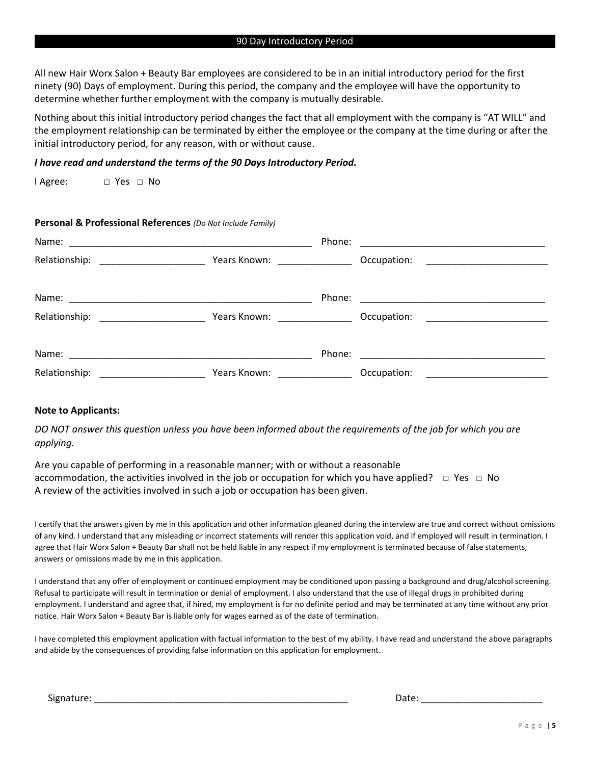#### 90 Day Introductory Period

All new Hair Worx Salon + Beauty Bar employees are considered to be in an initial introductory period for the first ninety (90) Days of employment. During this period, the company and the employee will have the opportunity to determine whether further employment with the company is mutually desirable.

Nothing about this initial introductory period changes the fact that all employment with the company is "AT WILL" and the employment relationship can be terminated by either the employee or the company at the time during or after the initial introductory period, for any reason, with or without cause.

#### *I have read and understand the terms of the 90 Days Introductory Period.*

I Agree: □ Yes □ No

#### **Personal & Professional References** *(Do Not Include Family)*

|                                                          |                                                                                                                                      | Phone: |             |
|----------------------------------------------------------|--------------------------------------------------------------------------------------------------------------------------------------|--------|-------------|
| Relationship:                                            | Years Known: ________________                                                                                                        |        | Occupation: |
|                                                          |                                                                                                                                      | Phone: |             |
| Relationship:<br><u> 1990 - Johann Barbara, martxa a</u> | Years Known:                                                                                                                         |        | Occupation: |
|                                                          |                                                                                                                                      | Phone: |             |
| Relationship:                                            | <u> 1980 - Jan Barbara III, prima postala prima prima prima prima prima prima prima prima prima prima prima prim</u><br>Years Known: |        | Occupation: |

#### **Note to Applicants:**

*DO NOT answer this question unless you have been informed about the requirements of the job for which you are applying.*

Are you capable of performing in a reasonable manner; with or without a reasonable accommodation, the activities involved in the job or occupation for which you have applied? □ Yes □ No A review of the activities involved in such a job or occupation has been given.

I certify that the answers given by me in this application and other information gleaned during the interview are true and correct without omissions of any kind. I understand that any misleading or incorrect statements will render this application void, and if employed will result in termination. I agree that Hair Worx Salon + Beauty Bar shall not be held liable in any respect if my employment is terminated because of false statements, answers or omissions made by me in this application.

I understand that any offer of employment or continued employment may be conditioned upon passing a background and drug/alcohol screening. Refusal to participate will result in termination or denial of employment. I also understand that the use of illegal drugs in prohibited during employment. I understand and agree that, if hired, my employment is for no definite period and may be terminated at any time without any prior notice. Hair Worx Salon + Beauty Bar is liable only for wages earned as of the date of termination.

I have completed this employment application with factual information to the best of my ability. I have read and understand the above paragraphs and abide by the consequences of providing false information on this application for employment.

Signature: \_\_\_\_\_\_\_\_\_\_\_\_\_\_\_\_\_\_\_\_\_\_\_\_\_\_\_\_\_\_\_\_\_\_\_\_\_\_\_\_\_\_\_\_\_\_\_\_ Date: \_\_\_\_\_\_\_\_\_\_\_\_\_\_\_\_\_\_\_\_\_\_\_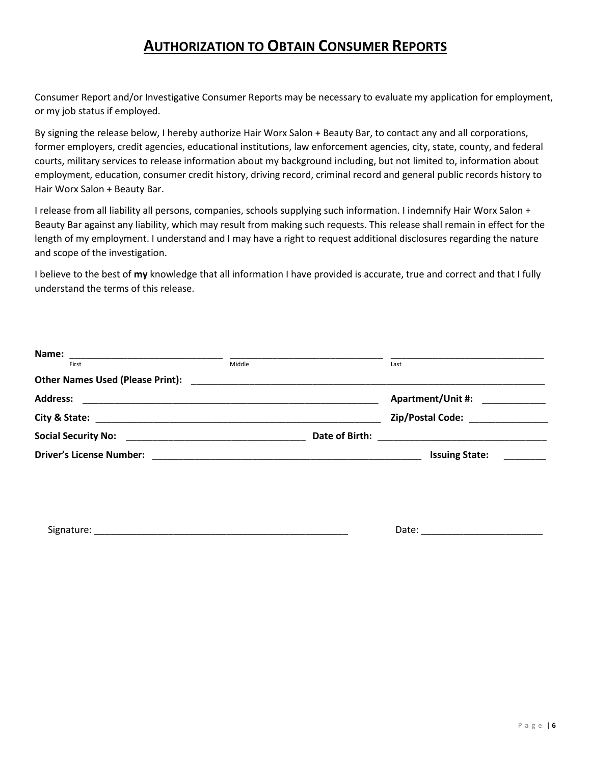### **AUTHORIZATION TO OBTAIN CONSUMER REPORTS**

Consumer Report and/or Investigative Consumer Reports may be necessary to evaluate my application for employment, or my job status if employed.

By signing the release below, I hereby authorize Hair Worx Salon + Beauty Bar, to contact any and all corporations, former employers, credit agencies, educational institutions, law enforcement agencies, city, state, county, and federal courts, military services to release information about my background including, but not limited to, information about employment, education, consumer credit history, driving record, criminal record and general public records history to Hair Worx Salon + Beauty Bar.

I release from all liability all persons, companies, schools supplying such information. I indemnify Hair Worx Salon + Beauty Bar against any liability, which may result from making such requests. This release shall remain in effect for the length of my employment. I understand and I may have a right to request additional disclosures regarding the nature and scope of the investigation.

I believe to the best of **my** knowledge that all information I have provided is accurate, true and correct and that I fully understand the terms of this release.

| Name:<br><u> 1990 - Jan James James James James James James James James James James James James James James James James J</u> |        |                |                          |
|-------------------------------------------------------------------------------------------------------------------------------|--------|----------------|--------------------------|
| First                                                                                                                         | Middle |                | Last                     |
| <b>Other Names Used (Please Print):</b>                                                                                       |        |                |                          |
| <b>Address:</b>                                                                                                               |        |                | <b>Apartment/Unit #:</b> |
|                                                                                                                               |        |                | Zip/Postal Code:         |
| <b>Social Security No:</b>                                                                                                    |        | Date of Birth: |                          |
| <b>Driver's License Number:</b>                                                                                               |        |                | <b>Issuing State:</b>    |

Signature: \_\_\_\_\_\_\_\_\_\_\_\_\_\_\_\_\_\_\_\_\_\_\_\_\_\_\_\_\_\_\_\_\_\_\_\_\_\_\_\_\_\_\_\_\_\_\_\_ Date: \_\_\_\_\_\_\_\_\_\_\_\_\_\_\_\_\_\_\_\_\_\_\_